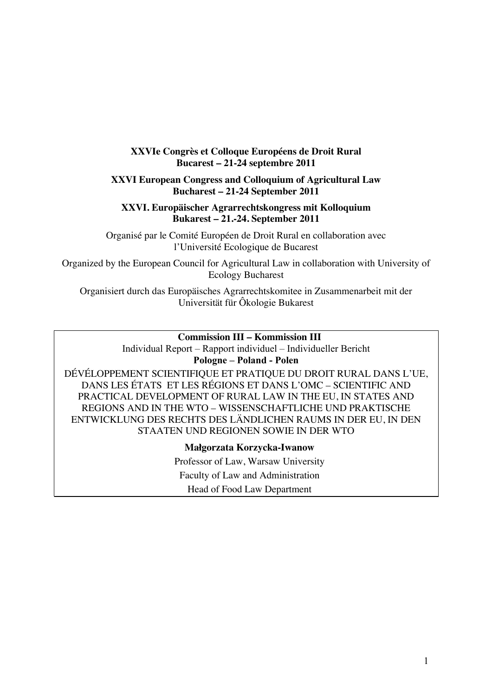## **XXVIe Congrès et Colloque Européens de Droit Rural Bucarest – 21-24 septembre 2011**

## **XXVI European Congress and Colloquium of Agricultural Law Bucharest – 21-24 September 2011**

#### **XXVI. Europäischer Agrarrechtskongress mit Kolloquium Bukarest – 21.-24. September 2011**

Organisé par le Comité Européen de Droit Rural en collaboration avec l'Université Ecologique de Bucarest

Organized by the European Council for Agricultural Law in collaboration with University of Ecology Bucharest

Organisiert durch das Europäisches Agrarrechtskomitee in Zusammenarbeit mit der Universität für Ôkologie Bukarest

## **Commission III – Kommission III**

Individual Report – Rapport individuel – Individueller Bericht

#### **Pologne – Poland - Polen**

DÉVÉLOPPEMENT SCIENTIFIQUE ET PRATIQUE DU DROIT RURAL DANS L'UE, DANS LES ÉTATS ET LES RÉGIONS ET DANS L'OMC – SCIENTIFIC AND PRACTICAL DEVELOPMENT OF RURAL LAW IN THE EU, IN STATES AND REGIONS AND IN THE WTO – WISSENSCHAFTLICHE UND PRAKTISCHE ENTWICKLUNG DES RECHTS DES LÄNDLICHEN RAUMS IN DER EU, IN DEN STAATEN UND REGIONEN SOWIE IN DER WTO

> **Małgorzata Korzycka-Iwanow** Professor of Law, Warsaw University Faculty of Law and Administration Head of Food Law Department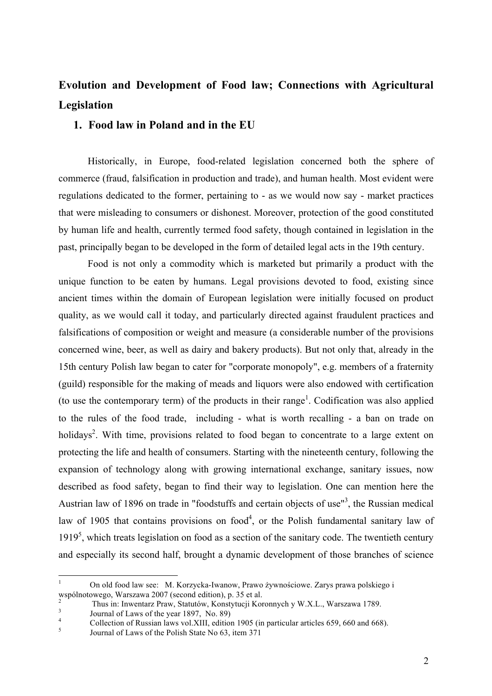# **Evolution and Development of Food law; Connections with Agricultural Legislation**

## **1. Food law in Poland and in the EU**

Historically, in Europe, food-related legislation concerned both the sphere of commerce (fraud, falsification in production and trade), and human health. Most evident were regulations dedicated to the former, pertaining to - as we would now say - market practices that were misleading to consumers or dishonest. Moreover, protection of the good constituted by human life and health, currently termed food safety, though contained in legislation in the past, principally began to be developed in the form of detailed legal acts in the 19th century.

Food is not only a commodity which is marketed but primarily a product with the unique function to be eaten by humans. Legal provisions devoted to food, existing since ancient times within the domain of European legislation were initially focused on product quality, as we would call it today, and particularly directed against fraudulent practices and falsifications of composition or weight and measure (a considerable number of the provisions concerned wine, beer, as well as dairy and bakery products). But not only that, already in the 15th century Polish law began to cater for "corporate monopoly", e.g. members of a fraternity (guild) responsible for the making of meads and liquors were also endowed with certification (to use the contemporary term) of the products in their range<sup>1</sup>. Codification was also applied to the rules of the food trade, including - what is worth recalling - a ban on trade on holidays<sup>2</sup>. With time, provisions related to food began to concentrate to a large extent on protecting the life and health of consumers. Starting with the nineteenth century, following the expansion of technology along with growing international exchange, sanitary issues, now described as food safety, began to find their way to legislation. One can mention here the Austrian law of 1896 on trade in "foodstuffs and certain objects of use"<sup>3</sup>, the Russian medical law of 1905 that contains provisions on food<sup>4</sup>, or the Polish fundamental sanitary law of  $1919<sup>5</sup>$ , which treats legislation on food as a section of the sanitary code. The twentieth century and especially its second half, brought a dynamic development of those branches of science

 <sup>1</sup> On old food law see: M. Korzycka-Iwanow, Prawo żywnościowe. Zarys prawa polskiego i wspólnotowego, Warszawa 2007 (second edition), p. 35 et al.

<sup>&</sup>lt;sup>2</sup><br>Thus in: Inwentarz Praw, Statutów, Konstytucji Koronnych y W.X.L., Warszawa 1789.<br>Journal of Laws of the year 1897, No. 89)<br>Collection of Russian laws vol.XIII, edition 1905 (in particular articles 659, 660 and 668).<br>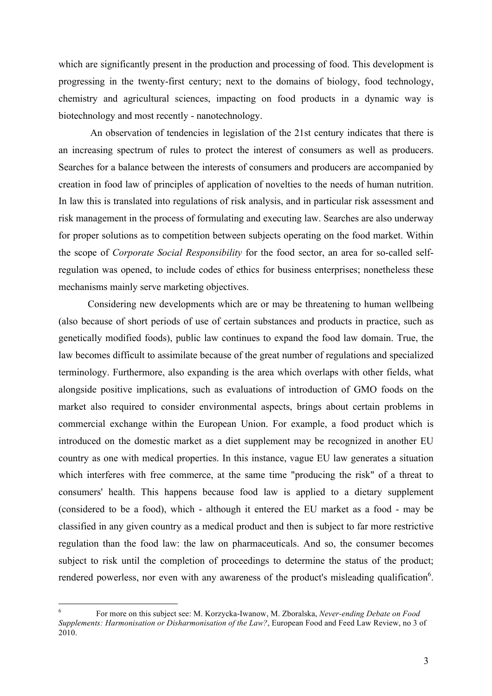which are significantly present in the production and processing of food. This development is progressing in the twenty-first century; next to the domains of biology, food technology, chemistry and agricultural sciences, impacting on food products in a dynamic way is biotechnology and most recently - nanotechnology.

 An observation of tendencies in legislation of the 21st century indicates that there is an increasing spectrum of rules to protect the interest of consumers as well as producers. Searches for a balance between the interests of consumers and producers are accompanied by creation in food law of principles of application of novelties to the needs of human nutrition. In law this is translated into regulations of risk analysis, and in particular risk assessment and risk management in the process of formulating and executing law. Searches are also underway for proper solutions as to competition between subjects operating on the food market. Within the scope of *Corporate Social Responsibility* for the food sector, an area for so-called selfregulation was opened, to include codes of ethics for business enterprises; nonetheless these mechanisms mainly serve marketing objectives.

Considering new developments which are or may be threatening to human wellbeing (also because of short periods of use of certain substances and products in practice, such as genetically modified foods), public law continues to expand the food law domain. True, the law becomes difficult to assimilate because of the great number of regulations and specialized terminology. Furthermore, also expanding is the area which overlaps with other fields, what alongside positive implications, such as evaluations of introduction of GMO foods on the market also required to consider environmental aspects, brings about certain problems in commercial exchange within the European Union. For example, a food product which is introduced on the domestic market as a diet supplement may be recognized in another EU country as one with medical properties. In this instance, vague EU law generates a situation which interferes with free commerce, at the same time "producing the risk" of a threat to consumers' health. This happens because food law is applied to a dietary supplement (considered to be a food), which - although it entered the EU market as a food - may be classified in any given country as a medical product and then is subject to far more restrictive regulation than the food law: the law on pharmaceuticals. And so, the consumer becomes subject to risk until the completion of proceedings to determine the status of the product; rendered powerless, nor even with any awareness of the product's misleading qualification<sup>6</sup>.

 <sup>6</sup> For more on this subject see: M. Korzycka-Iwanow, M. Zboralska, *Never-ending Debate on Food Supplements: Harmonisation or Disharmonisation of the Law?*, European Food and Feed Law Review, no 3 of 2010.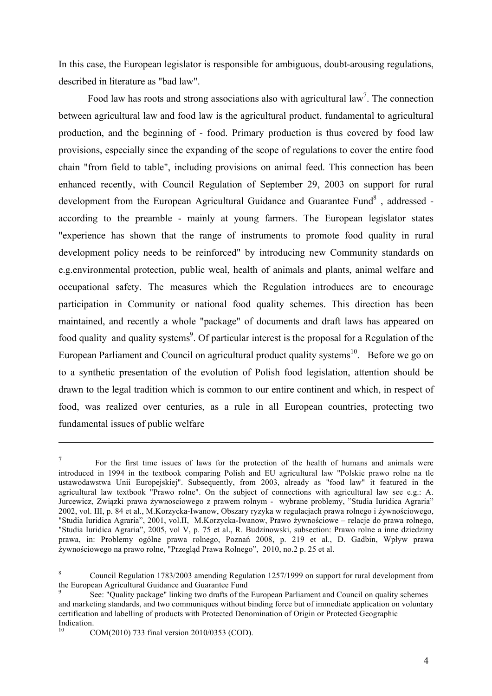In this case, the European legislator is responsible for ambiguous, doubt-arousing regulations, described in literature as "bad law".

Food law has roots and strong associations also with agricultural law<sup>7</sup>. The connection between agricultural law and food law is the agricultural product, fundamental to agricultural production, and the beginning of - food. Primary production is thus covered by food law provisions, especially since the expanding of the scope of regulations to cover the entire food chain "from field to table", including provisions on animal feed. This connection has been enhanced recently, with Council Regulation of September 29, 2003 on support for rural development from the European Agricultural Guidance and Guarantee Fund<sup>8</sup>, addressed according to the preamble - mainly at young farmers. The European legislator states "experience has shown that the range of instruments to promote food quality in rural development policy needs to be reinforced" by introducing new Community standards on e.g.environmental protection, public weal, health of animals and plants, animal welfare and occupational safety. The measures which the Regulation introduces are to encourage participation in Community or national food quality schemes. This direction has been maintained, and recently a whole "package" of documents and draft laws has appeared on food quality and quality systems<sup>9</sup>. Of particular interest is the proposal for a Regulation of the European Parliament and Council on agricultural product quality systems<sup>10</sup>. Before we go on to a synthetic presentation of the evolution of Polish food legislation, attention should be drawn to the legal tradition which is common to our entire continent and which, in respect of food, was realized over centuries, as a rule in all European countries, protecting two fundamental issues of public welfare

<u>.</u>

<sup>7</sup> For the first time issues of laws for the protection of the health of humans and animals were introduced in 1994 in the textbook comparing Polish and EU agricultural law "Polskie prawo rolne na tle ustawodawstwa Unii Europejskiej". Subsequently, from 2003, already as "food law" it featured in the agricultural law textbook "Prawo rolne". On the subject of connections with agricultural law see e.g.: A. Jurcewicz, Związki prawa żywnosciowego z prawem rolnym - wybrane problemy, "Studia Iuridica Agraria" 2002, vol. III, p. 84 et al., M.Korzycka-Iwanow, Obszary ryzyka w regulacjach prawa rolnego i żywnościowego, "Studia Iuridica Agraria", 2001, vol.II, M.Korzycka-Iwanow, Prawo żywnościowe – relacje do prawa rolnego, "Studia Iuridica Agraria", 2005, vol V, p. 75 et al., R. Budzinowski, subsection: Prawo rolne a inne dziedziny prawa, in: Problemy ogólne prawa rolnego, Poznań 2008, p. 219 et al., D. Gadbin, Wpływ prawa żywnościowego na prawo rolne, "Przegląd Prawa Rolnego", 2010, no.2 p. 25 et al.

<sup>8</sup> Council Regulation 1783/2003 amending Regulation 1257/1999 on support for rural development from the European Agricultural Guidance and Guarantee Fund

<sup>9</sup> See: "Quality package" linking two drafts of the European Parliament and Council on quality schemes and marketing standards, and two communiques without binding force but of immediate application on voluntary certification and labelling of products with Protected Denomination of Origin or Protected Geographic Indication.

<sup>10</sup> COM(2010) 733 final version 2010/0353 (COD).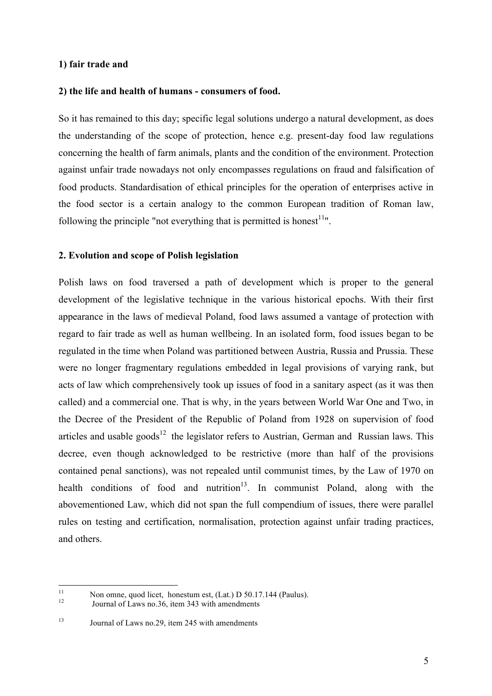#### **1) fair trade and**

#### **2) the life and health of humans - consumers of food.**

So it has remained to this day; specific legal solutions undergo a natural development, as does the understanding of the scope of protection, hence e.g. present-day food law regulations concerning the health of farm animals, plants and the condition of the environment. Protection against unfair trade nowadays not only encompasses regulations on fraud and falsification of food products. Standardisation of ethical principles for the operation of enterprises active in the food sector is a certain analogy to the common European tradition of Roman law, following the principle "not everything that is permitted is honest $11$ ".

#### **2. Evolution and scope of Polish legislation**

Polish laws on food traversed a path of development which is proper to the general development of the legislative technique in the various historical epochs. With their first appearance in the laws of medieval Poland, food laws assumed a vantage of protection with regard to fair trade as well as human wellbeing. In an isolated form, food issues began to be regulated in the time when Poland was partitioned between Austria, Russia and Prussia. These were no longer fragmentary regulations embedded in legal provisions of varying rank, but acts of law which comprehensively took up issues of food in a sanitary aspect (as it was then called) and a commercial one. That is why, in the years between World War One and Two, in the Decree of the President of the Republic of Poland from 1928 on supervision of food articles and usable goods<sup>12</sup> the legislator refers to Austrian, German and Russian laws. This decree, even though acknowledged to be restrictive (more than half of the provisions contained penal sanctions), was not repealed until communist times, by the Law of 1970 on health conditions of food and nutrition<sup>13</sup>. In communist Poland, along with the abovementioned Law, which did not span the full compendium of issues, there were parallel rules on testing and certification, normalisation, protection against unfair trading practices, and others.

<sup>&</sup>lt;sup>11</sup> Non omne, quod licet, honestum est, (Lat.) D 50.17.144 (Paulus).<br>Journal of Laws no.36, item 343 with amendments

<sup>13</sup> Journal of Laws no.29, item 245 with amendments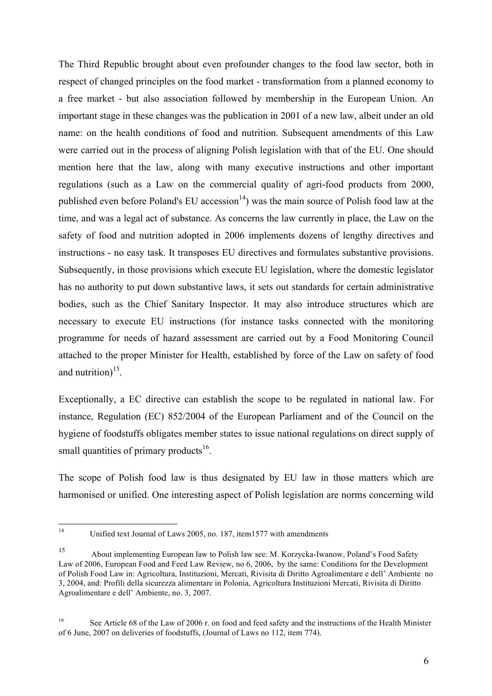The Third Republic brought about even profounder changes to the food law sector, both in respect of changed principles on the food market - transformation from a planned economy to a free market - but also association followed by membership in the European Union. An important stage in these changes was the publication in 2001 of a new law, albeit under an old name: on the health conditions of food and nutrition. Subsequent amendments of this Law were carried out in the process of aligning Polish legislation with that of the EU. One should mention here that the law, along with many executive instructions and other important regulations (such as a Law on the commercial quality of agri-food products from 2000, published even before Poland's EU accession<sup>14</sup>) was the main source of Polish food law at the time, and was a legal act of substance. As concerns the law currently in place, the Law on the safety of food and nutrition adopted in 2006 implements dozens of lengthy directives and instructions - no easy task. It transposes EU directives and formulates substantive provisions. Subsequently, in those provisions which execute EU legislation, where the domestic legislator has no authority to put down substantive laws, it sets out standards for certain administrative bodies, such as the Chief Sanitary Inspector. It may also introduce structures which are necessary to execute EU instructions (for instance tasks connected with the monitoring programme for needs of hazard assessment are carried out by a Food Monitoring Council attached to the proper Minister for Health, established by force of the Law on safety of food and nutrition) $15$ .

Exceptionally, a EC directive can establish the scope to be regulated in national law. For instance, Regulation (EC) 852/2004 of the European Parliament and of the Council on the hygiene of foodstuffs obligates member states to issue national regulations on direct supply of small quantities of primary products<sup>16</sup>.

The scope of Polish food law is thus designated by EU law in those matters which are harmonised or unified. One interesting aspect of Polish legislation are norms concerning wild

<sup>&</sup>lt;sup>14</sup> Unified text Journal of Laws 2005, no. 187, item1577 with amendments

<sup>15</sup> About implementing European law to Polish law see: M. Korzycka-Iwanow, Poland's Food Safety Law of 2006, European Food and Feed Law Review, no 6, 2006, by the same: Conditions for the Development of Polish Food Law in: Agricoltura, Instituzioni, Mercati, Rivisita di Diritto Agroalimentare e dell' Ambiente no 3, 2004, and: Profili della sicurezza alimentare in Polonia, Agricoltura Instituzioni Mercati, Rivisita di Diritto Agroalimentare e dell' Ambiente, no. 3, 2007.

<sup>&</sup>lt;sup>16</sup> See Article 68 of the Law of 2006 r. on food and feed safety and the instructions of the Health Minister of 6 June, 2007 on deliveries of foodstuffs, (Journal of Laws no 112, item 774).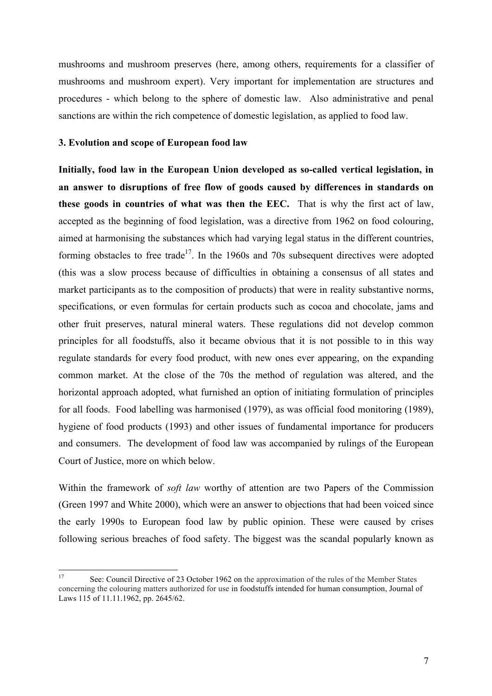mushrooms and mushroom preserves (here, among others, requirements for a classifier of mushrooms and mushroom expert). Very important for implementation are structures and procedures - which belong to the sphere of domestic law. Also administrative and penal sanctions are within the rich competence of domestic legislation, as applied to food law.

#### **3. Evolution and scope of European food law**

**Initially, food law in the European Union developed as so-called vertical legislation, in an answer to disruptions of free flow of goods caused by differences in standards on these goods in countries of what was then the EEC.** That is why the first act of law, accepted as the beginning of food legislation, was a directive from 1962 on food colouring, aimed at harmonising the substances which had varying legal status in the different countries, forming obstacles to free trade<sup>17</sup>. In the 1960s and 70s subsequent directives were adopted (this was a slow process because of difficulties in obtaining a consensus of all states and market participants as to the composition of products) that were in reality substantive norms, specifications, or even formulas for certain products such as cocoa and chocolate, jams and other fruit preserves, natural mineral waters. These regulations did not develop common principles for all foodstuffs, also it became obvious that it is not possible to in this way regulate standards for every food product, with new ones ever appearing, on the expanding common market. At the close of the 70s the method of regulation was altered, and the horizontal approach adopted, what furnished an option of initiating formulation of principles for all foods. Food labelling was harmonised (1979), as was official food monitoring (1989), hygiene of food products (1993) and other issues of fundamental importance for producers and consumers. The development of food law was accompanied by rulings of the European Court of Justice, more on which below.

Within the framework of *soft law* worthy of attention are two Papers of the Commission (Green 1997 and White 2000), which were an answer to objections that had been voiced since the early 1990s to European food law by public opinion. These were caused by crises following serious breaches of food safety. The biggest was the scandal popularly known as

<sup>&</sup>lt;sup>17</sup> See: Council Directive of 23 October 1962 on the approximation of the rules of the Member States concerning the colouring matters authorized for use in foodstuffs intended for human consumption, Journal of Laws 115 of 11.11.1962, pp. 2645/62.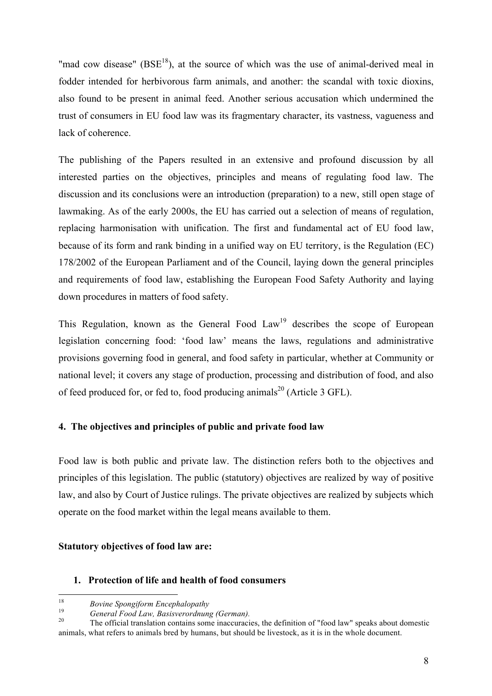"mad cow disease" ( $BSE^{18}$ ), at the source of which was the use of animal-derived meal in fodder intended for herbivorous farm animals, and another: the scandal with toxic dioxins, also found to be present in animal feed. Another serious accusation which undermined the trust of consumers in EU food law was its fragmentary character, its vastness, vagueness and lack of coherence.

The publishing of the Papers resulted in an extensive and profound discussion by all interested parties on the objectives, principles and means of regulating food law. The discussion and its conclusions were an introduction (preparation) to a new, still open stage of lawmaking. As of the early 2000s, the EU has carried out a selection of means of regulation, replacing harmonisation with unification. The first and fundamental act of EU food law, because of its form and rank binding in a unified way on EU territory, is the Regulation (EC) 178/2002 of the European Parliament and of the Council, laying down the general principles and requirements of food law, establishing the European Food Safety Authority and laying down procedures in matters of food safety.

This Regulation, known as the General Food  $Law<sup>19</sup>$  describes the scope of European legislation concerning food: 'food law' means the laws, regulations and administrative provisions governing food in general, and food safety in particular, whether at Community or national level; it covers any stage of production, processing and distribution of food, and also of feed produced for, or fed to, food producing animals<sup>20</sup> (Article 3 GFL).

## **4. The objectives and principles of public and private food law**

Food law is both public and private law. The distinction refers both to the objectives and principles of this legislation. The public (statutory) objectives are realized by way of positive law, and also by Court of Justice rulings. The private objectives are realized by subjects which operate on the food market within the legal means available to them.

## **Statutory objectives of food law are:**

#### **1. Protection of life and health of food consumers**

<sup>&</sup>lt;sup>18</sup> *Bovine Spongiform Encephalopathy*<br><sup>19</sup> *General Food Law, Basisverordnung (German).*<br><sup>20</sup> The official translation contains some inaccuracies, the definition of "food law" speaks about domestic animals, what refers to animals bred by humans, but should be livestock, as it is in the whole document.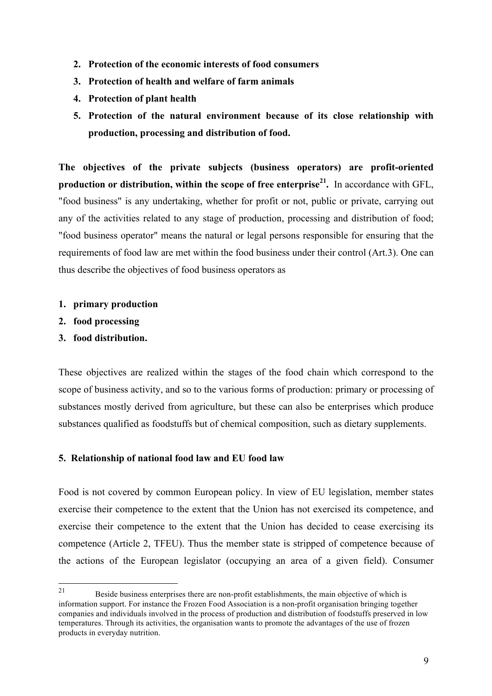- **2. Protection of the economic interests of food consumers**
- **3. Protection of health and welfare of farm animals**
- **4. Protection of plant health**
- **5. Protection of the natural environment because of its close relationship with production, processing and distribution of food.**

**The objectives of the private subjects (business operators) are profit-oriented production or distribution, within the scope of free enterprise21.** In accordance with GFL, "food business" is any undertaking, whether for profit or not, public or private, carrying out any of the activities related to any stage of production, processing and distribution of food; "food business operator" means the natural or legal persons responsible for ensuring that the requirements of food law are met within the food business under their control (Art.3). One can thus describe the objectives of food business operators as

- **1. primary production**
- **2. food processing**
- **3. food distribution.**

These objectives are realized within the stages of the food chain which correspond to the scope of business activity, and so to the various forms of production: primary or processing of substances mostly derived from agriculture, but these can also be enterprises which produce substances qualified as foodstuffs but of chemical composition, such as dietary supplements.

## **5. Relationship of national food law and EU food law**

Food is not covered by common European policy. In view of EU legislation, member states exercise their competence to the extent that the Union has not exercised its competence, and exercise their competence to the extent that the Union has decided to cease exercising its competence (Article 2, TFEU). Thus the member state is stripped of competence because of the actions of the European legislator (occupying an area of a given field). Consumer

<sup>&</sup>lt;sup>21</sup> Beside business enterprises there are non-profit establishments, the main objective of which is information support. For instance the Frozen Food Association is a non-profit organisation bringing together companies and individuals involved in the process of production and distribution of foodstuffs preserved in low temperatures. Through its activities, the organisation wants to promote the advantages of the use of frozen products in everyday nutrition.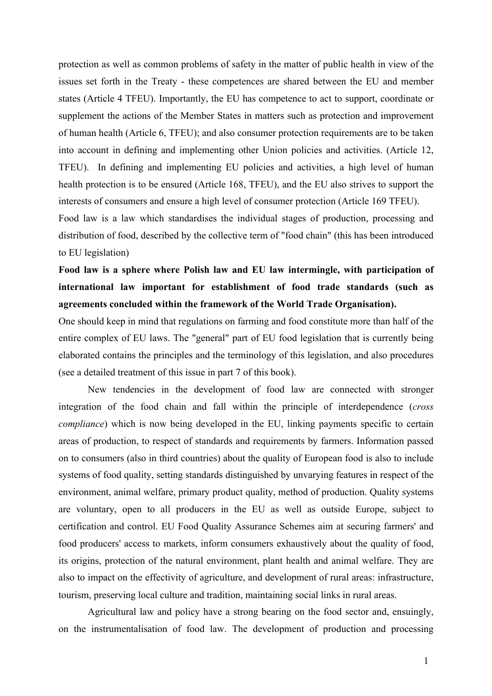protection as well as common problems of safety in the matter of public health in view of the issues set forth in the Treaty - these competences are shared between the EU and member states (Article 4 TFEU). Importantly, the EU has competence to act to support, coordinate or supplement the actions of the Member States in matters such as protection and improvement of human health (Article 6, TFEU); and also consumer protection requirements are to be taken into account in defining and implementing other Union policies and activities. (Article 12, TFEU). In defining and implementing EU policies and activities, a high level of human health protection is to be ensured (Article 168, TFEU), and the EU also strives to support the interests of consumers and ensure a high level of consumer protection (Article 169 TFEU).

Food law is a law which standardises the individual stages of production, processing and distribution of food, described by the collective term of "food chain" (this has been introduced to EU legislation)

## **Food law is a sphere where Polish law and EU law intermingle, with participation of international law important for establishment of food trade standards (such as agreements concluded within the framework of the World Trade Organisation).**

One should keep in mind that regulations on farming and food constitute more than half of the entire complex of EU laws. The "general" part of EU food legislation that is currently being elaborated contains the principles and the terminology of this legislation, and also procedures (see a detailed treatment of this issue in part 7 of this book).

New tendencies in the development of food law are connected with stronger integration of the food chain and fall within the principle of interdependence (*cross compliance*) which is now being developed in the EU, linking payments specific to certain areas of production, to respect of standards and requirements by farmers. Information passed on to consumers (also in third countries) about the quality of European food is also to include systems of food quality, setting standards distinguished by unvarying features in respect of the environment, animal welfare, primary product quality, method of production. Quality systems are voluntary, open to all producers in the EU as well as outside Europe, subject to certification and control. EU Food Quality Assurance Schemes aim at securing farmers' and food producers' access to markets, inform consumers exhaustively about the quality of food, its origins, protection of the natural environment, plant health and animal welfare. They are also to impact on the effectivity of agriculture, and development of rural areas: infrastructure, tourism, preserving local culture and tradition, maintaining social links in rural areas.

Agricultural law and policy have a strong bearing on the food sector and, ensuingly, on the instrumentalisation of food law. The development of production and processing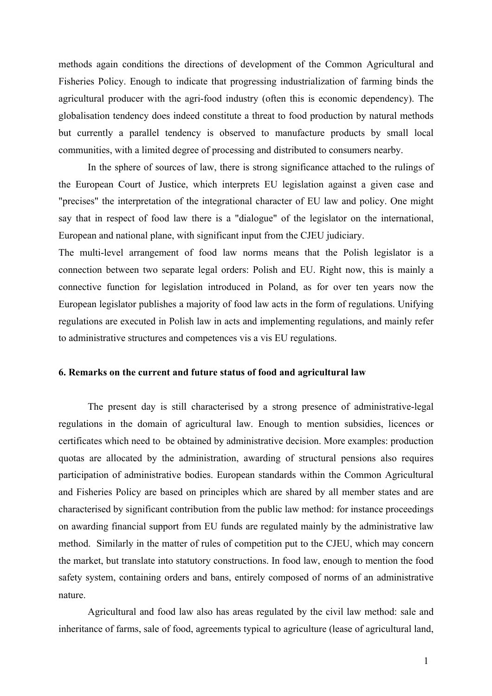methods again conditions the directions of development of the Common Agricultural and Fisheries Policy. Enough to indicate that progressing industrialization of farming binds the agricultural producer with the agri-food industry (often this is economic dependency). The globalisation tendency does indeed constitute a threat to food production by natural methods but currently a parallel tendency is observed to manufacture products by small local communities, with a limited degree of processing and distributed to consumers nearby.

In the sphere of sources of law, there is strong significance attached to the rulings of the European Court of Justice, which interprets EU legislation against a given case and "precises" the interpretation of the integrational character of EU law and policy. One might say that in respect of food law there is a "dialogue" of the legislator on the international, European and national plane, with significant input from the CJEU judiciary.

The multi-level arrangement of food law norms means that the Polish legislator is a connection between two separate legal orders: Polish and EU. Right now, this is mainly a connective function for legislation introduced in Poland, as for over ten years now the European legislator publishes a majority of food law acts in the form of regulations. Unifying regulations are executed in Polish law in acts and implementing regulations, and mainly refer to administrative structures and competences vis a vis EU regulations.

#### **6. Remarks on the current and future status of food and agricultural law**

The present day is still characterised by a strong presence of administrative-legal regulations in the domain of agricultural law. Enough to mention subsidies, licences or certificates which need to be obtained by administrative decision. More examples: production quotas are allocated by the administration, awarding of structural pensions also requires participation of administrative bodies. European standards within the Common Agricultural and Fisheries Policy are based on principles which are shared by all member states and are characterised by significant contribution from the public law method: for instance proceedings on awarding financial support from EU funds are regulated mainly by the administrative law method. Similarly in the matter of rules of competition put to the CJEU, which may concern the market, but translate into statutory constructions. In food law, enough to mention the food safety system, containing orders and bans, entirely composed of norms of an administrative nature.

Agricultural and food law also has areas regulated by the civil law method: sale and inheritance of farms, sale of food, agreements typical to agriculture (lease of agricultural land,